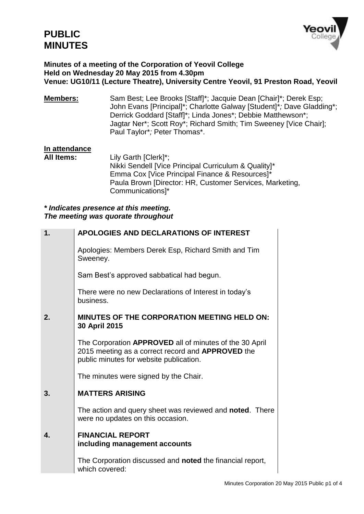

#### **Minutes of a meeting of the Corporation of Yeovil College Held on Wednesday 20 May 2015 from 4.30pm Venue: UG10/11 (Lecture Theatre), University Centre Yeovil, 91 Preston Road, Yeovil**

**Members:** Sam Best; Lee Brooks [Staff]\*; Jacquie Dean [Chair]\*; Derek Esp; John Evans [Principal]\*; Charlotte Galway [Student]\**;* Dave Gladding\*; Derrick Goddard [Staff]\*; Linda Jones\*; Debbie Matthewson\*; Jagtar Ner\*; Scott Roy\*; Richard Smith; Tim Sweeney [Vice Chair]; Paul Taylor\**;* Peter Thomas\*.

# **In attendance**

Lily Garth [Clerk]\*; Nikki Sendell [Vice Principal Curriculum & Quality]\* Emma Cox [Vice Principal Finance & Resources]\* Paula Brown [Director: HR, Customer Services, Marketing, Communications]\*

*\* Indicates presence at this meeting. The meeting was quorate throughout*

| 1.           | <b>APOLOGIES AND DECLARATIONS OF INTEREST</b>                                                                                                           |
|--------------|---------------------------------------------------------------------------------------------------------------------------------------------------------|
|              | Apologies: Members Derek Esp, Richard Smith and Tim<br>Sweeney.                                                                                         |
|              | Sam Best's approved sabbatical had begun.                                                                                                               |
|              | There were no new Declarations of Interest in today's<br>business.                                                                                      |
| 2.           | <b>MINUTES OF THE CORPORATION MEETING HELD ON:</b><br>30 April 2015                                                                                     |
|              | The Corporation APPROVED all of minutes of the 30 April<br>2015 meeting as a correct record and APPROVED the<br>public minutes for website publication. |
|              | The minutes were signed by the Chair.                                                                                                                   |
| 3.           | <b>MATTERS ARISING</b>                                                                                                                                  |
|              | The action and query sheet was reviewed and noted. There<br>were no updates on this occasion.                                                           |
| $\mathbf{A}$ | <b>FINANCIAL REPORT</b><br>including management accounts                                                                                                |
|              | The Corporation discussed and <b>noted</b> the financial report,<br>which covered:                                                                      |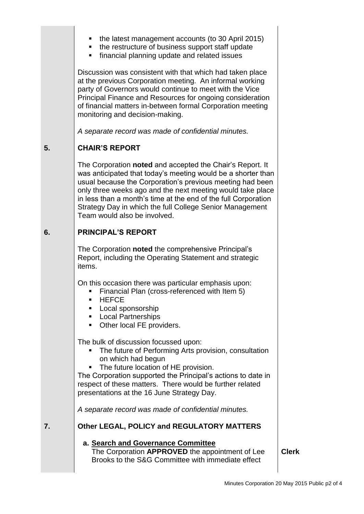| the latest management accounts (to 30 April 2015) |  |  |
|---------------------------------------------------|--|--|
|                                                   |  |  |

- the restructure of business support staff update
- **financial planning update and related issues**

Discussion was consistent with that which had taken place at the previous Corporation meeting. An informal working party of Governors would continue to meet with the Vice Principal Finance and Resources for ongoing consideration of financial matters in-between formal Corporation meeting monitoring and decision-making.

*A separate record was made of confidential minutes.*

## **5. CHAIR'S REPORT**

The Corporation **noted** and accepted the Chair's Report. It was anticipated that today's meeting would be a shorter than usual because the Corporation's previous meeting had been only three weeks ago and the next meeting would take place in less than a month's time at the end of the full Corporation Strategy Day in which the full College Senior Management Team would also be involved.

## **6. PRINCIPAL'S REPORT**

The Corporation **noted** the comprehensive Principal's Report, including the Operating Statement and strategic items.

On this occasion there was particular emphasis upon:

- **Financial Plan (cross-referenced with Item 5)**
- **HEFCE**
- **Local sponsorship**
- **Local Partnerships**
- Other local FE providers.

The bulk of discussion focussed upon:

- The future of Performing Arts provision, consultation on which had begun
- The future location of HE provision.

The Corporation supported the Principal's actions to date in respect of these matters. There would be further related presentations at the 16 June Strategy Day.

*A separate record was made of confidential minutes.*

**7. Other LEGAL, POLICY and REGULATORY MATTERS**

#### **a. Search and Governance Committee** The Corporation **APPROVED** the appointment of Lee Brooks to the S&G Committee with immediate effect

**Clerk**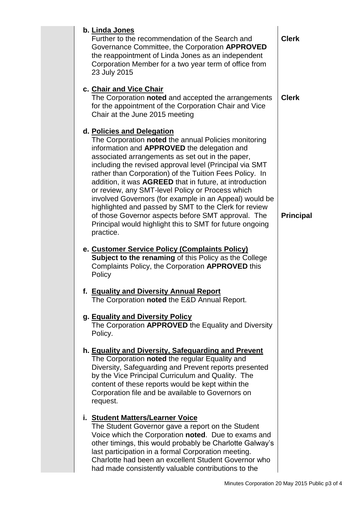| b. Linda Jones<br>Further to the recommendation of the Search and<br>Governance Committee, the Corporation APPROVED<br>the reappointment of Linda Jones as an independent<br>Corporation Member for a two year term of office from<br>23 July 2015                                                                                                                                                                                                                                                                                                                                                                                                                           | <b>Clerk</b>     |
|------------------------------------------------------------------------------------------------------------------------------------------------------------------------------------------------------------------------------------------------------------------------------------------------------------------------------------------------------------------------------------------------------------------------------------------------------------------------------------------------------------------------------------------------------------------------------------------------------------------------------------------------------------------------------|------------------|
| c. Chair and Vice Chair<br>The Corporation noted and accepted the arrangements<br>for the appointment of the Corporation Chair and Vice<br>Chair at the June 2015 meeting                                                                                                                                                                                                                                                                                                                                                                                                                                                                                                    | <b>Clerk</b>     |
| d. Policies and Delegation<br>The Corporation noted the annual Policies monitoring<br>information and APPROVED the delegation and<br>associated arrangements as set out in the paper,<br>including the revised approval level (Principal via SMT<br>rather than Corporation) of the Tuition Fees Policy. In<br>addition, it was AGREED that in future, at introduction<br>or review, any SMT-level Policy or Process which<br>involved Governors (for example in an Appeal) would be<br>highlighted and passed by SMT to the Clerk for review<br>of those Governor aspects before SMT approval. The<br>Principal would highlight this to SMT for future ongoing<br>practice. | <b>Principal</b> |
| e. Customer Service Policy (Complaints Policy)<br><b>Subject to the renaming of this Policy as the College</b><br>Complaints Policy, the Corporation APPROVED this<br>Policy                                                                                                                                                                                                                                                                                                                                                                                                                                                                                                 |                  |
| f. Equality and Diversity Annual Report<br>The Corporation <b>noted</b> the E&D Annual Report.                                                                                                                                                                                                                                                                                                                                                                                                                                                                                                                                                                               |                  |
| g. Equality and Diversity Policy<br>The Corporation APPROVED the Equality and Diversity<br>Policy.                                                                                                                                                                                                                                                                                                                                                                                                                                                                                                                                                                           |                  |
| h. Equality and Diversity, Safeguarding and Prevent<br>The Corporation noted the regular Equality and<br>Diversity, Safeguarding and Prevent reports presented<br>by the Vice Principal Curriculum and Quality. The<br>content of these reports would be kept within the<br>Corporation file and be available to Governors on<br>request.                                                                                                                                                                                                                                                                                                                                    |                  |
| i. Student Matters/Learner Voice<br>The Student Governor gave a report on the Student<br>Voice which the Corporation noted. Due to exams and<br>other timings, this would probably be Charlotte Galway's<br>last participation in a formal Corporation meeting.<br>Charlotte had been an excellent Student Governor who<br>had made consistently valuable contributions to the                                                                                                                                                                                                                                                                                               |                  |